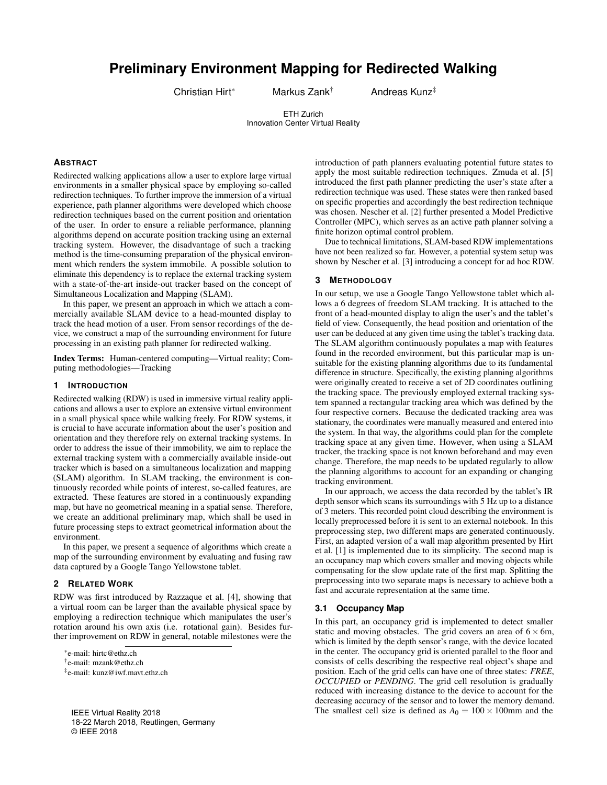# <span id="page-0-0"></span>**Preliminary Environment Mapping for Redirected Walking**

Christian Hirt\* Markus Zank† Andreas Kunz‡

ETH Zurich Innovation Center Virtual Reality

# **ABSTRACT**

Redirected walking applications allow a user to explore large virtual environments in a smaller physical space by employing so-called redirection techniques. To further improve the immersion of a virtual experience, path planner algorithms were developed which choose redirection techniques based on the current position and orientation of the user. In order to ensure a reliable performance, planning algorithms depend on accurate position tracking using an external tracking system. However, the disadvantage of such a tracking method is the time-consuming preparation of the physical environment which renders the system immobile. A possible solution to eliminate this dependency is to replace the external tracking system with a state-of-the-art inside-out tracker based on the concept of Simultaneous Localization and Mapping (SLAM).

In this paper, we present an approach in which we attach a commercially available SLAM device to a head-mounted display to track the head motion of a user. From sensor recordings of the device, we construct a map of the surrounding environment for future processing in an existing path planner for redirected walking.

Index Terms: Human-centered computing—Virtual reality; Computing methodologies—Tracking

# **1 INTRODUCTION**

Redirected walking (RDW) is used in immersive virtual reality applications and allows a user to explore an extensive virtual environment in a small physical space while walking freely. For RDW systems, it is crucial to have accurate information about the user's position and orientation and they therefore rely on external tracking systems. In order to address the issue of their immobility, we aim to replace the external tracking system with a commercially available inside-out tracker which is based on a simultaneous localization and mapping (SLAM) algorithm. In SLAM tracking, the environment is continuously recorded while points of interest, so-called features, are extracted. These features are stored in a continuously expanding map, but have no geometrical meaning in a spatial sense. Therefore, we create an additional preliminary map, which shall be used in future processing steps to extract geometrical information about the environment.

In this paper, we present a sequence of algorithms which create a map of the surrounding environment by evaluating and fusing raw data captured by a Google Tango Yellowstone tablet.

# **2 RELATED WORK**

RDW was first introduced by Razzaque et al. [\[4\]](#page-1-0), showing that a virtual room can be larger than the available physical space by employing a redirection technique which manipulates the user's rotation around his own axis (i.e. rotational gain). Besides further improvement on RDW in general, notable milestones were the

IEEE Virtual Reality 2018 18-22 March 2018, Reutlingen, Germany © IEEE 2018

introduction of path planners evaluating potential future states to apply the most suitable redirection techniques. Zmuda et al. [\[5\]](#page-1-1) introduced the first path planner predicting the user's state after a redirection technique was used. These states were then ranked based on specific properties and accordingly the best redirection technique was chosen. Nescher et al. [\[2\]](#page-1-2) further presented a Model Predictive Controller (MPC), which serves as an active path planner solving a finite horizon optimal control problem.

Due to technical limitations, SLAM-based RDW implementations have not been realized so far. However, a potential system setup was shown by Nescher et al. [\[3\]](#page-1-3) introducing a concept for ad hoc RDW.

## **3 METHODOLOGY**

In our setup, we use a Google Tango Yellowstone tablet which allows a 6 degrees of freedom SLAM tracking. It is attached to the front of a head-mounted display to align the user's and the tablet's field of view. Consequently, the head position and orientation of the user can be deduced at any given time using the tablet's tracking data. The SLAM algorithm continuously populates a map with features found in the recorded environment, but this particular map is unsuitable for the existing planning algorithms due to its fundamental difference in structure. Specifically, the existing planning algorithms were originally created to receive a set of 2D coordinates outlining the tracking space. The previously employed external tracking system spanned a rectangular tracking area which was defined by the four respective corners. Because the dedicated tracking area was stationary, the coordinates were manually measured and entered into the system. In that way, the algorithms could plan for the complete tracking space at any given time. However, when using a SLAM tracker, the tracking space is not known beforehand and may even change. Therefore, the map needs to be updated regularly to allow the planning algorithms to account for an expanding or changing tracking environment.

In our approach, we access the data recorded by the tablet's IR depth sensor which scans its surroundings with 5 Hz up to a distance of 3 meters. This recorded point cloud describing the environment is locally preprocessed before it is sent to an external notebook. In this preprocessing step, two different maps are generated continuously. First, an adapted version of a wall map algorithm presented by Hirt et al. [\[1\]](#page-1-4) is implemented due to its simplicity. The second map is an occupancy map which covers smaller and moving objects while compensating for the slow update rate of the first map. Splitting the preprocessing into two separate maps is necessary to achieve both a fast and accurate representation at the same time.

### **3.1 Occupancy Map**

In this part, an occupancy grid is implemented to detect smaller static and moving obstacles. The grid covers an area of  $6 \times 6m$ , which is limited by the depth sensor's range, with the device located in the center. The occupancy grid is oriented parallel to the floor and consists of cells describing the respective real object's shape and position. Each of the grid cells can have one of three states: *FREE*, *OCCUPIED* or *PENDING*. The grid cell resolution is gradually reduced with increasing distance to the device to account for the decreasing accuracy of the sensor and to lower the memory demand. The smallest cell size is defined as  $A_0 = 100 \times 100$ mm and the

<sup>\*</sup>e-mail: hirtc@ethz.ch

<sup>†</sup> e-mail: mzank@ethz.ch

<sup>‡</sup> e-mail: kunz@iwf.mavt.ethz.ch